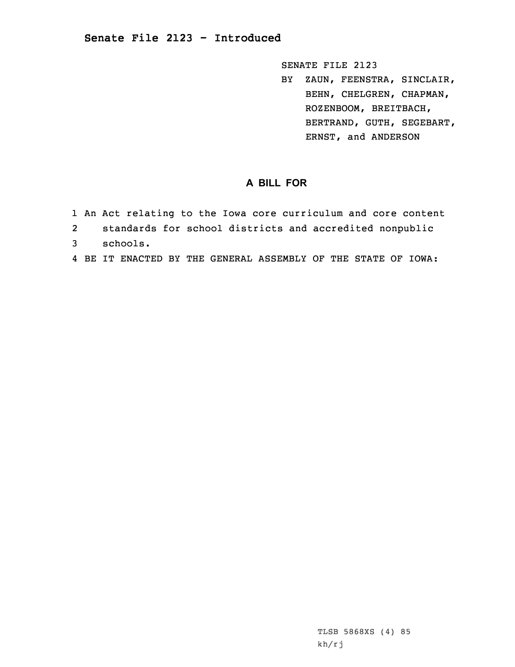SENATE FILE 2123

BY ZAUN, FEENSTRA, SINCLAIR, BEHN, CHELGREN, CHAPMAN, ROZENBOOM, BREITBACH, BERTRAND, GUTH, SEGEBART, ERNST, and ANDERSON

## **A BILL FOR**

- 1 An Act relating to the Iowa core curriculum and core content
- 2standards for school districts and accredited nonpublic
- 3 schools.
- 4 BE IT ENACTED BY THE GENERAL ASSEMBLY OF THE STATE OF IOWA: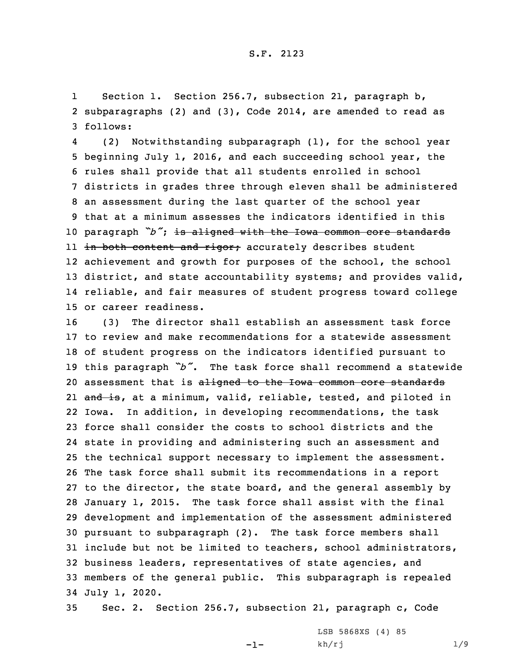1 Section 1. Section 256.7, subsection 21, paragraph b, 2 subparagraphs (2) and (3), Code 2014, are amended to read as 3 follows:

4 (2) Notwithstanding subparagraph (1), for the school year beginning July 1, 2016, and each succeeding school year, the rules shall provide that all students enrolled in school districts in grades three through eleven shall be administered an assessment during the last quarter of the school year that at <sup>a</sup> minimum assesses the indicators identified in this paragraph *"b"*; is aligned with the Iowa common core standards 11 <del>in both content and rigor;</del> accurately describes student achievement and growth for purposes of the school, the school 13 district, and state accountability systems; and provides valid, reliable, and fair measures of student progress toward college or career readiness.

 (3) The director shall establish an assessment task force to review and make recommendations for <sup>a</sup> statewide assessment of student progress on the indicators identified pursuant to this paragraph *"b"*. The task force shall recommend <sup>a</sup> statewide 20 assessment that is aligned to the Iowa common core standards 21 <del>and is</del>, at a minimum, valid, reliable, tested, and piloted in Iowa. In addition, in developing recommendations, the task force shall consider the costs to school districts and the state in providing and administering such an assessment and the technical support necessary to implement the assessment. The task force shall submit its recommendations in <sup>a</sup> report to the director, the state board, and the general assembly by January 1, 2015. The task force shall assist with the final development and implementation of the assessment administered pursuant to subparagraph (2). The task force members shall include but not be limited to teachers, school administrators, business leaders, representatives of state agencies, and members of the general public. This subparagraph is repealed July 1, 2020.

35 Sec. 2. Section 256.7, subsection 21, paragraph c, Code

-1-

LSB 5868XS (4) 85 kh/rj 1/9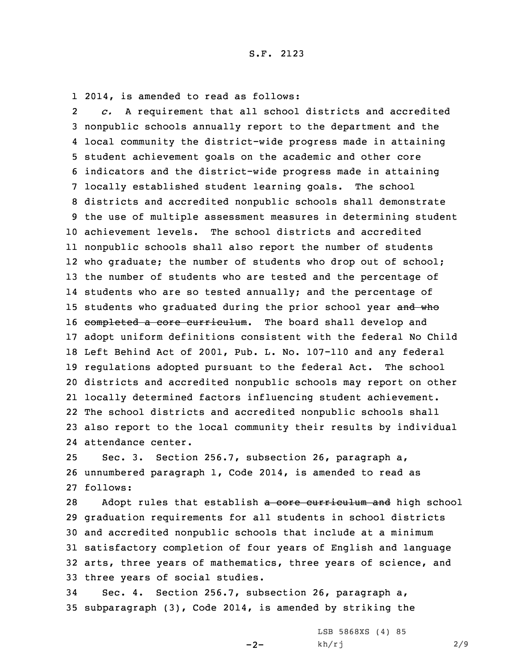1 2014, is amended to read as follows:

2 *c.* <sup>A</sup> requirement that all school districts and accredited nonpublic schools annually report to the department and the local community the district-wide progress made in attaining student achievement goals on the academic and other core indicators and the district-wide progress made in attaining locally established student learning goals. The school districts and accredited nonpublic schools shall demonstrate the use of multiple assessment measures in determining student achievement levels. The school districts and accredited nonpublic schools shall also report the number of students who graduate; the number of students who drop out of school; the number of students who are tested and the percentage of 14 students who are so tested annually; and the percentage of 15 students who graduated during the prior school year and who 16 completed a core curriculum. The board shall develop and adopt uniform definitions consistent with the federal No Child Left Behind Act of 2001, Pub. L. No. 107-110 and any federal regulations adopted pursuant to the federal Act. The school districts and accredited nonpublic schools may report on other locally determined factors influencing student achievement. The school districts and accredited nonpublic schools shall also report to the local community their results by individual attendance center.

25 Sec. 3. Section 256.7, subsection 26, paragraph a, 26 unnumbered paragraph 1, Code 2014, is amended to read as 27 follows:

28 Adopt rules that establish a core curriculum and high school graduation requirements for all students in school districts and accredited nonpublic schools that include at <sup>a</sup> minimum satisfactory completion of four years of English and language arts, three years of mathematics, three years of science, and three years of social studies.

34 Sec. 4. Section 256.7, subsection 26, paragraph a, 35 subparagraph (3), Code 2014, is amended by striking the

 $-2-$ 

LSB 5868XS (4) 85 kh/rj 2/9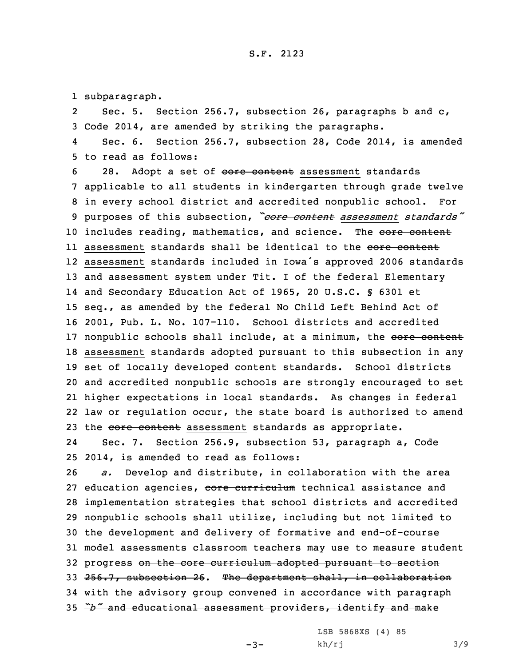1 subparagraph.

2 Sec. 5. Section 256.7, subsection 26, paragraphs b and c, 3 Code 2014, are amended by striking the paragraphs.

4 Sec. 6. Section 256.7, subsection 28, Code 2014, is amended 5 to read as follows:

6 28. Adopt a set of core content assessment standards applicable to all students in kindergarten through grade twelve in every school district and accredited nonpublic school. For purposes of this subsection, *"core content assessment standards"* 10 includes reading, mathematics, and science. The core content ll assessment standards shall be identical to the <del>core content</del> assessment standards included in Iowa's approved <sup>2006</sup> standards and assessment system under Tit. <sup>I</sup> of the federal Elementary and Secondary Education Act of 1965, 20 U.S.C. § 6301 et seq., as amended by the federal No Child Left Behind Act of 2001, Pub. L. No. 107-110. School districts and accredited 17 nonpublic schools shall include, at a minimum, the core content assessment standards adopted pursuant to this subsection in any set of locally developed content standards. School districts and accredited nonpublic schools are strongly encouraged to set higher expectations in local standards. As changes in federal law or regulation occur, the state board is authorized to amend 23 the core content assessment standards as appropriate.

24 Sec. 7. Section 256.9, subsection 53, paragraph a, Code 25 2014, is amended to read as follows:

 *a.* Develop and distribute, in collaboration with the area 27 education agencies, core curriculum technical assistance and implementation strategies that school districts and accredited nonpublic schools shall utilize, including but not limited to the development and delivery of formative and end-of-course model assessments classroom teachers may use to measure student 32 progress on the core curriculum adopted pursuant to section 33 256.7, subsection 26. The department shall, in collaboration with the advisory group convened in accordance with paragraph *"b"* and educational assessment providers, identify and make

LSB 5868XS (4) 85

 $-3-$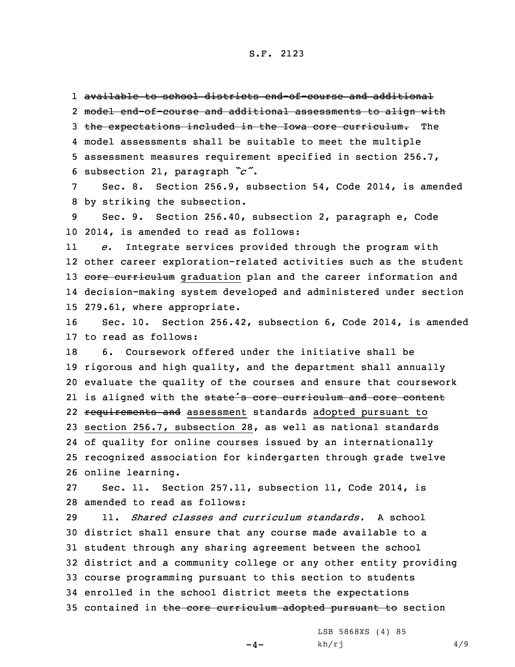1 available to school districts end-of-course and additional

 model end-of-course and additional assessments to align with the expectations included in the Iowa core curriculum. The model assessments shall be suitable to meet the multiple assessment measures requirement specified in section 256.7, subsection 21, paragraph *"c"*.

7 Sec. 8. Section 256.9, subsection 54, Code 2014, is amended 8 by striking the subsection.

9 Sec. 9. Section 256.40, subsection 2, paragraph e, Code 10 2014, is amended to read as follows:

11 *e.* Integrate services provided through the program with 12 other career exploration-related activities such as the student 13 core curriculum graduation plan and the career information and 14 decision-making system developed and administered under section 15 279.61, where appropriate.

16 Sec. 10. Section 256.42, subsection 6, Code 2014, is amended 17 to read as follows:

 6. Coursework offered under the initiative shall be rigorous and high quality, and the department shall annually evaluate the quality of the courses and ensure that coursework 21 is aligned with the state's core curriculum and core content 22 requirements and assessment standards adopted pursuant to section 256.7, subsection 28, as well as national standards of quality for online courses issued by an internationally recognized association for kindergarten through grade twelve online learning.

27 Sec. 11. Section 257.11, subsection 11, Code 2014, is 28 amended to read as follows:

 11. *Shared classes and curriculum standards.* A school district shall ensure that any course made available to <sup>a</sup> student through any sharing agreement between the school district and <sup>a</sup> community college or any other entity providing course programming pursuant to this section to students enrolled in the school district meets the expectations 35 contained in the core curriculum adopted pursuant to section

 $-4-$ 

LSB 5868XS (4) 85 kh/rj 4/9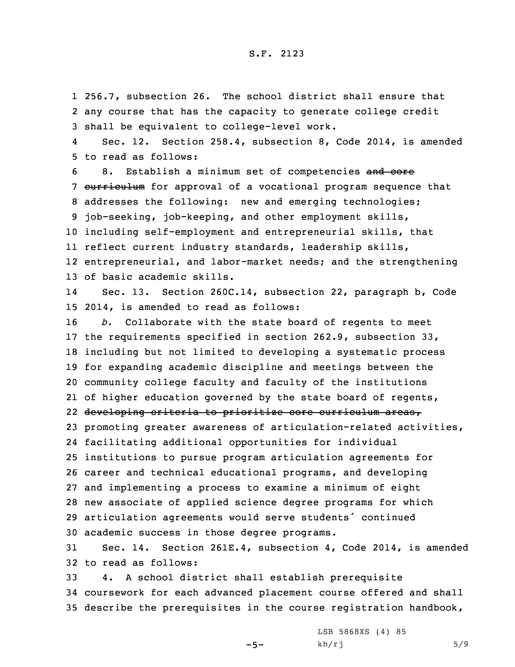1 256.7, subsection 26. The school district shall ensure that 2 any course that has the capacity to generate college credit 3 shall be equivalent to college-level work.

4 Sec. 12. Section 258.4, subsection 8, Code 2014, is amended 5 to read as follows:

6 8. Establish a minimum set of competencies and core 7 curriculum for approval of a vocational program sequence that addresses the following: new and emerging technologies; job-seeking, job-keeping, and other employment skills, including self-employment and entrepreneurial skills, that reflect current industry standards, leadership skills, entrepreneurial, and labor-market needs; and the strengthening of basic academic skills.

14 Sec. 13. Section 260C.14, subsection 22, paragraph b, Code 15 2014, is amended to read as follows:

 *b.* Collaborate with the state board of regents to meet the requirements specified in section 262.9, subsection 33, including but not limited to developing <sup>a</sup> systematic process for expanding academic discipline and meetings between the community college faculty and faculty of the institutions of higher education governed by the state board of regents, developing criteria to prioritize core curriculum areas, promoting greater awareness of articulation-related activities, facilitating additional opportunities for individual institutions to pursue program articulation agreements for career and technical educational programs, and developing and implementing <sup>a</sup> process to examine <sup>a</sup> minimum of eight new associate of applied science degree programs for which articulation agreements would serve students' continued academic success in those degree programs.

31 Sec. 14. Section 261E.4, subsection 4, Code 2014, is amended 32 to read as follows:

33 4. <sup>A</sup> school district shall establish prerequisite 34 coursework for each advanced placement course offered and shall 35 describe the prerequisites in the course registration handbook,

 $-5-$ 

LSB 5868XS (4) 85  $kh/rj$  5/9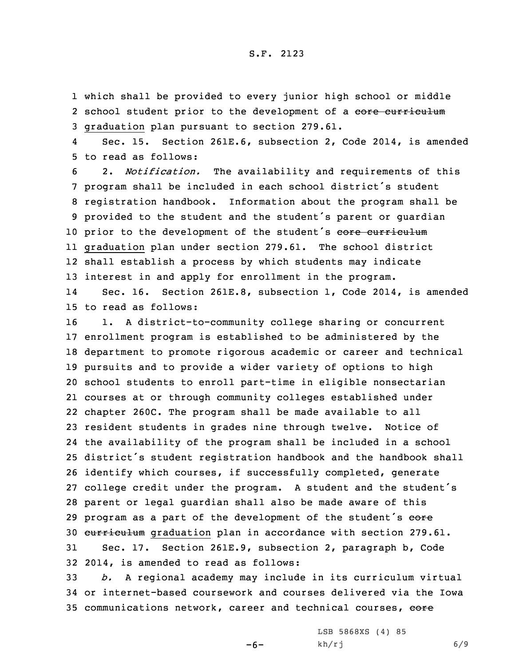1 which shall be provided to every junior high school or middle 2 school student prior to the development of a core curriculum 3 graduation plan pursuant to section 279.61.

4 Sec. 15. Section 261E.6, subsection 2, Code 2014, is amended 5 to read as follows:

 2. *Notification.* The availability and requirements of this program shall be included in each school district's student registration handbook. Information about the program shall be provided to the student and the student's parent or guardian 10 prior to the development of the student's core curriculum graduation plan under section 279.61. The school district shall establish <sup>a</sup> process by which students may indicate interest in and apply for enrollment in the program.

14 Sec. 16. Section 261E.8, subsection 1, Code 2014, is amended 15 to read as follows:

 1. <sup>A</sup> district-to-community college sharing or concurrent enrollment program is established to be administered by the department to promote rigorous academic or career and technical pursuits and to provide <sup>a</sup> wider variety of options to high school students to enroll part-time in eligible nonsectarian courses at or through community colleges established under chapter 260C. The program shall be made available to all resident students in grades nine through twelve. Notice of the availability of the program shall be included in <sup>a</sup> school district's student registration handbook and the handbook shall identify which courses, if successfully completed, generate college credit under the program. <sup>A</sup> student and the student's parent or legal guardian shall also be made aware of this 29 program as a part of the development of the student's core curriculum graduation plan in accordance with section 279.61. Sec. 17. Section 261E.9, subsection 2, paragraph b, Code 2014, is amended to read as follows:

33 *b.* <sup>A</sup> regional academy may include in its curriculum virtual 34 or internet-based coursework and courses delivered via the Iowa 35 communications network, career and technical courses, eore

-6-

LSB 5868XS (4) 85 kh/rj 6/9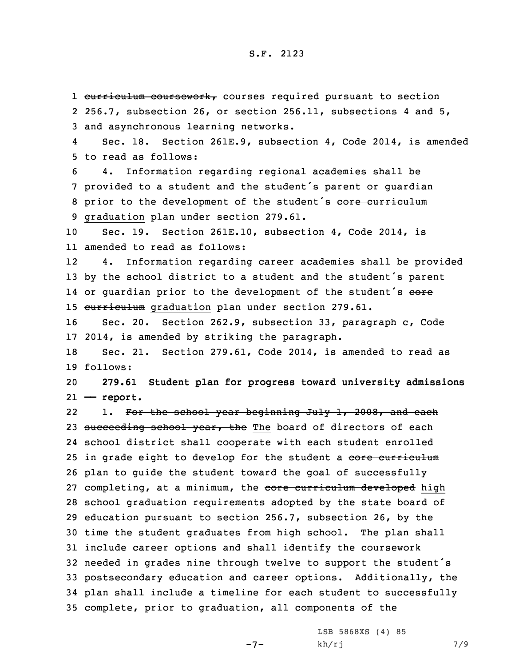## S.F. 2123

1 curriculum coursework, courses required pursuant to section 2 256.7, subsection 26, or section 256.11, subsections 4 and 5, 3 and asynchronous learning networks.

4 Sec. 18. Section 261E.9, subsection 4, Code 2014, is amended 5 to read as follows:

 4. Information regarding regional academies shall be provided to <sup>a</sup> student and the student's parent or guardian 8 prior to the development of the student's core curriculum graduation plan under section 279.61.

10 Sec. 19. Section 261E.10, subsection 4, Code 2014, is 11 amended to read as follows:

12 4. Information regarding career academies shall be provided <sup>13</sup> by the school district to <sup>a</sup> student and the student's parent 14 or guardian prior to the development of the student's <del>core</del> 15 curriculum graduation plan under section 279.61.

16 Sec. 20. Section 262.9, subsection 33, paragraph c, Code 17 2014, is amended by striking the paragraph.

18 Sec. 21. Section 279.61, Code 2014, is amended to read as 19 follows:

20 **279.61 Student plan for progress toward university admissions** 21 **—— report.**

221. For the school year beginning July 1, 2008, and each 23 succeeding school year, the The board of directors of each school district shall cooperate with each student enrolled 25 in grade eight to develop for the student a core curriculum plan to guide the student toward the goal of successfully 27 completing, at a minimum, the core curriculum developed high school graduation requirements adopted by the state board of education pursuant to section 256.7, subsection 26, by the time the student graduates from high school. The plan shall include career options and shall identify the coursework needed in grades nine through twelve to support the student's postsecondary education and career options. Additionally, the plan shall include <sup>a</sup> timeline for each student to successfully complete, prior to graduation, all components of the

 $-7-$ 

LSB 5868XS (4) 85  $kh/rj$  7/9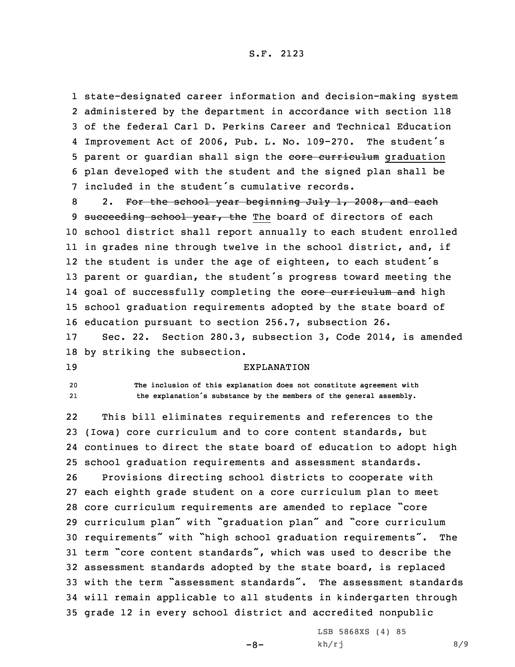## S.F. 2123

 state-designated career information and decision-making system administered by the department in accordance with section 118 of the federal Carl D. Perkins Career and Technical Education Improvement Act of 2006, Pub. L. No. 109-270. The student's 5 parent or guardian shall sign the core curriculum graduation plan developed with the student and the signed plan shall be included in the student's cumulative records.

8 2. For the school year beginning July 1, 2008, and each 9 succeeding school year, the The board of directors of each school district shall report annually to each student enrolled in grades nine through twelve in the school district, and, if the student is under the age of eighteen, to each student's parent or guardian, the student's progress toward meeting the 14 goal of successfully completing the <del>core curriculum and</del> high school graduation requirements adopted by the state board of education pursuant to section 256.7, subsection 26.

17 Sec. 22. Section 280.3, subsection 3, Code 2014, is amended 18 by striking the subsection.

19 EXPLANATION

20 **The inclusion of this explanation does not constitute agreement with** 21**the explanation's substance by the members of the general assembly.**

22 This bill eliminates requirements and references to the (Iowa) core curriculum and to core content standards, but continues to direct the state board of education to adopt high school graduation requirements and assessment standards. Provisions directing school districts to cooperate with each eighth grade student on <sup>a</sup> core curriculum plan to meet core curriculum requirements are amended to replace "core curriculum plan" with "graduation plan" and "core curriculum requirements" with "high school graduation requirements". The term "core content standards", which was used to describe the assessment standards adopted by the state board, is replaced with the term "assessment standards". The assessment standards will remain applicable to all students in kindergarten through grade 12 in every school district and accredited nonpublic

 $-8-$ 

LSB 5868XS (4) 85  $kh/rj$  8/9